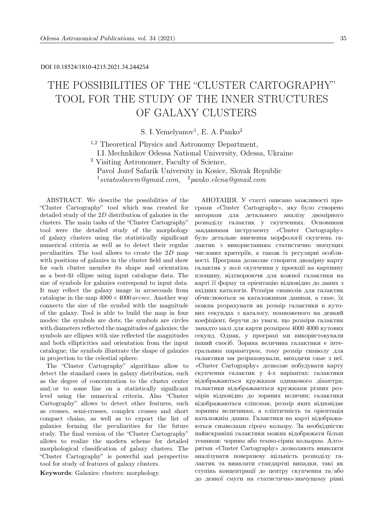# DOI 10.18524/1810-4215.2021.34.244254

# THE POSSIBILITIES OF THE "CLUSTER CARTOGRAPHY" TOOL FOR THE STUDY OF THE INNER STRUCTURES OF GALAXY CLUSTERS

S. I. Yemelyanov<sup>1</sup>, E. A. Panko<sup>2</sup>

<sup>1,2</sup> Theoretical Physics and Astronomy Department,

I.I. Mechnkikov Odessa National University, Odessa, Ukraine

<sup>2</sup> Visiting Astronomer, Faculty of Science,

Pavol Jozef Safarik University in Kosice, Slovak Republic

 $^1$ sviatoslavem@gmail.com,  $^2$ panko.elena@gmail.com

ABSTRACT. We describe the possibilities of the "Cluster Cartography" tool which was created for detailed study of the 2D distribution of galaxies in the clusters. The main tasks of the "Cluster Cartography" tool were the detailed study of the morphology of galaxy clusters using the statistically significant numerical criteria as well as to detect their regular peculiarities. The tool allows to create the 2D map with positions of galaxies in the cluster field and show for each cluster member its shape and orientation as a best-fit ellipse using input catalogue data. The size of symbols for galaxies correspond to input data. It may reflect the galaxy image in arcseconds from catalogue in the map  $4000 \times 4000$  arcsec. Another way connects the size of the symbol with the magnitude of the galaxy. Tool is able to build the map in four modes: the symbols are dots; the symbols are circles with diameters reflected the magnitudes of galaxies; the symbols are ellipses with size reflected the magnitudes and both ellipticities and orientation from the input catalogue; the symbols illustrate the shape of galaxies in projection to the celestial sphere.

The "Cluster Cartography" algorithms allow to detect the standard cases in galaxy distribution, such as the degree of concentration to the cluster center and/or to some line on a statistically significant level using the numerical criteria. Also "Cluster Cartography" allows to detect other features, such as crosses, semi-crosses, complex crosses and short compact chains, as well as to export the list of galaxies forming the peculiarities for the future study. The final version of the "Cluster Cartography" allows to realize the modern scheme for detailed morphological classification of galaxy clusters. The "Cluster Cartography" is powerful and perspective tool for study of features of galaxy clusters.

Keywords: Galaxies: clusters: morphology.

АНОТАЦIЯ. У статтi описано можливостi програми «Cluster Cartography», яку було створено авторами для детального аналiзу двомiрного розподiлу галактик у скупченнях. Основними завданнями iнструменту «Cluster Cartography» було детальне вивчення морфологiї скупчень галактик з використанням статистично значущих числових критерiїв, а також їх регулярнi особливостi. Програма дозволяє створити двомiрну карту галактик у полi скупчення у проекцiї на картинну площину, вiдтворюючи для кожної галактики на картi її форму та орiєнтацiю вiдповiдно до даних з вхiдних каталогiв. Розмiри символiв для галактик обчислюються за каталожними даними, а саме, їх можна розрахувати як розмiр галактики в кутових секундах з каталогу, помноженого на деякий коефiцiєнт, беручи до уваги, що розмiри галактик занадто малi для карти розмiром 4000 4000 кутових секунд. Однак, у програмi ми використовували iнший спосiб. Зоряна величина галактики є iнтегральним параметром, тому розмiр символу для галактики ми розраховували, виходячи саме з неї. «Cluster Cartography» дозволяє побудувати карту скупчення галактик у 4-х варiантах: галактики вiдображаються кружками однакового дiаметра; галактики вiдображаються кружками рiзних розмiрiв вiдповiдно до зоряних величин; галактики вiдображаються елiпсами, розмiр яких вiдповiдає зоряним величинам, а елiптичнiсть та орiєнтацiя каталожнiм даним. Галактики на картi вiдображаються символами сiрого кольору. За необхiднiстю найяскравiшi галактики можна вiдображати бiльш темними: чорним або темно-сiрим кольором. Алгоритми «Cluster Cartography» дозволяють виявляти аналiзувати поверхневу щiльнiсть розподiлу галактик та виявляти стандартнi випадки, такi як ступiнь концентрацiї до центру скупчення та/або до деякої смуги на статистично-значущому рiвнi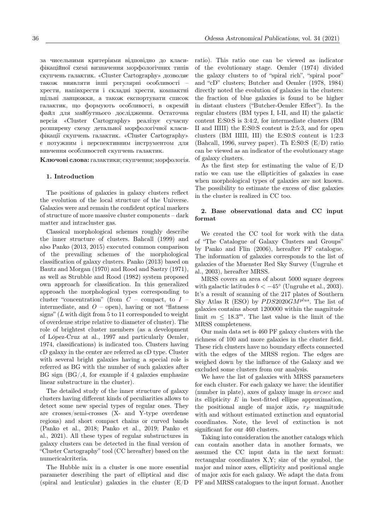за чисельними критерiями вiдповiдно до класифiкацiйної схемi визначення морфологiчних типiв скупчень галактик. «Cluster Cartography» дозволяє також виявляти iншi регулярнi особливостi – хрести, напiвхрести i складнi хрести, компактнi щiльнi ланцюжки, а також експортувати список галактик, що формують особливостi, в окремiй файл для майбутнього дослiдження. Остаточна версiя «Cluster Cartography» реалiзує сучасну розширену схему детальної морфологiчної класифiкацiї скупчень галактик. «Cluster Cartography» є потужним i перспективним iнструментом для вивчення особливостей скупчень галактик.

Ключовi слова: галактики; скупчення; морфологiя.

## 1. Introduction

The positions of galaxies in galaxy clusters reflect the evolution of the local structure of the Universe. Galaxies were and remain the confident optical markers of structure of more massive cluster components – dark matter and intracluster gas.

Classical morphological schemes roughly describe the inner structure of clusters. Bahcall (1999) and also Panko (2013, 2015) executed common comparison of the prevailing schemes of the morphological classification of galaxy clusters. Panko (2013) based on Bautz and Morgan (1970) and Rood and Sastry (1971), as well as Strubble and Rood (1982) system proposed own approach for classification. In this generalized approach the morphological types corresponding to cluster "concentration" (from  $C$  – compact, to  $I$  – intermediate, and  $\hat{O}$  – open), having or not "flatness" signs"  $(L \text{ with } \text{digit from } 5 \text{ to } 11 \text{ corresponded to } \text{weight})$ of overdense stripe relative to diameter of cluster). The role of brightest cluster members (as a development of L´opez-Cruz at al., 1997 and particularly Oemler, 1974, classifications) is indicated too. Clusters having cD galaxy in the center are referred as cD type. Cluster with several bright galaxies having a special role is referred as BG with the number of such galaxies after BG sign  $(BG/4, f\text{or example if } 4 \text{ galaxies emphasize})$ linear substructure in the cluster).

The detailed study of the inner structure of galaxy clusters having different kinds of peculiarities allows to detect some new special types of regular ones. They are crosses/semi-crosses (X- and Y-type overdense regions) and short compact chains or curved bands (Panko et al., 2018; Panko et al., 2019; Panko et al., 2021). All these types of regular substructures in galaxy clusters can be detected in the final version of "Cluster Cartography" tool (CC hereafter) based on the numericalcriteria.

The Hubble mix in a cluster is one more essential parameter describing the part of elliptical and disc (spiral and lenticular) galaxies in the cluster (E/D

ratio). This ratio one can be viewed as indicator of the evolutionary stage. Oemler (1974) divided the galaxy clusters to of "spiral rich", "spiral poor" and "cD" clusters; Butcher and Oemler (1978, 1984) directly noted the evolution of galaxies in the clusters: the fraction of blue galaxies is found to be higher in distant clusters ("Butcher-Oemler Effect"). In the regular clusters (BM types I, I-II, and II) the galactic content E:S0:S is 3:4:2, for intermediate clusters (BM II and IIIII) the E:S0:S content is 2:5:3, and for open clusters (BM IIIII, III) the E:S0:S content is 1:2:3 (Bahcall, 1996, survey paper). Th E:S0:S (E/D) ratio can be viewed as an indicator of the evolutionary stage of galaxy clusters.

As the first step for estimating the value of E/D ratio we can use the ellipticities of galaxies in case when morphological types of galaxies are not known. The possibility to estimate the excess of disc galaxies in the cluster is realized in CC too.

# 2. Base observational data and CC input format

We created the CC tool for work with the data of "The Catalogue of Galaxy Clusters and Groups" by Panko and Flin (2006), hereafter PF catalogue. The information of galaxies corresponds to the list of galaxies of the Muenster Red Sky Survey (Ungruhe et al., 2003), hereafter MRSS.

MRSS covers an area of about 5000 square degrees with galactic latitudes  $b < -45^{\circ}$  (Ungruhe et al., 2003). It's a result of scanning of the 217 plates of Southern Sky Atlas R (ESO) by  $PDS2020GM^{plus}$ . The list of galaxies contains about 1200000 within the magnitude limit  $m \leq 18.3^m$ . The last value is the limit of the MRSS completeness.

Our main data set is 460 PF galaxy clusters with the richness of 100 and more galaxies in the cluster field. These rich clusters have no boundary effects connected with the edges of the MRSS region. The edges are weighed down by the influence of the Galaxy and we excluded some clusters from our analysis.

We have the list of galaxies with MRSS parameters for each cluster. For each galaxy we have: the identifier (number in plate), axes of galaxy image in arcsec and its ellipticity  $E$  in best-fitted ellipse approximation, the positional angle of major axis,  $r_F$  magnitude with and without estimated extinction and equatorial coordinates. Note, the level of extinction is not significant for our 460 clusters.

Taking into consideration the another catalogs which can contain another data in another formats, we assumed the CC input data in the next format: rectangular coordinates X,Y; size of the symbol, the major and minor axes, ellipticity and positional angle of major axis for each galaxy. We adapt the data from PF and MRSS catalogues to the input format. Another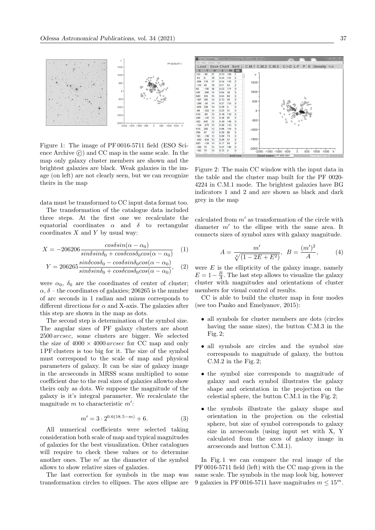

Figure 1: The image of PF 0016-5711 field (ESO Science Archive  $\circled{c}$  and CC map in the same scale. In the map only galaxy cluster members are shown and the brightest galaxies are black. Weak galaxies in the image (on left) are not clearly seen, but we can recognize theirs in the map

data must be transformed to CC input data format too.

The transformation of the catalogue data included three steps. At the first one we recalculate the equatorial coordinates  $\alpha$  and  $\delta$  to rectangular coordinates  $X$  and  $Y$  by usual way:

$$
X = -206206 \frac{\cos\delta\sin(\alpha - \alpha_0)}{\sin\delta\sin\delta_0 + \cos\delta\cos\delta_0\cos(\alpha - \alpha_0)} \quad (1)
$$

$$
Y = 206265 \frac{\sin\delta\cos\delta_0 - \cos\delta\sin\delta_0\cos(\alpha - \alpha_0)}{\sin\delta_0\cos(\alpha - \alpha_0)}, \quad (2)
$$

$$
Y = 206265 \frac{1}{\sin \delta \sin \delta_0 + \cos \delta \cos \delta_0 \cos(\alpha - \alpha_0)}, \quad (2
$$

were  $\alpha_0$ ,  $\delta_0$  are the coordinates of center of cluster;  $\alpha$ ,  $\delta$  – the coordinates of galaxies; 206265 is the number of arc seconds in 1 radian and minus corresponds to different directions for  $\alpha$  and X-axis. The galaxies after this step are shown in the map as dots.

The second step is determination of the symbol size. The angular sizes of PF galaxy clusters are about 2500 arcsec, some clusters are bigger. We selected the size of  $4000 \times 4000$  arcsec for CC map and only 1 PF clusters is too big for it. The size of the symbol must correspond to the scale of map and physical parameters of galaxy. It can be size of galaxy image in the arcseconds in MRSS scans multiplied to some coefficient due to the real sizes of galaxies allowto show theirs only as dots. We suppose the magnitude of the galaxy is it's integral parameter. We recalculate the magnitude  $m$  to characteristic  $m'$ :

$$
m' = 3 \cdot 2^{0.6(18.5 - m)} + 6. \tag{3}
$$

All numerical coefficients were selected taking consideration both scale of map and typical magnitudes of galaxies for the best visualization. Other catalogues will require to check these values or to determine another ones. The  $m'$  as the diameter of the symbol allows to show relative sizes of galaxies.

The last correction for symbols in the map was transformation circles to ellipses. The axes ellipse are



Figure 2: The main CC window with the input data in the table and the cluster map built for the PF 0020- 4224 in C.M.1 mode. The brightest galaxies have BG indicators 1 and 2 and are shown as black and dark grey in the map

calculated from  $m'$  as transformation of the circle with diameter  $m'$  to the ellipse with the same area. It connects sizes of symbol axes with galaxy magnitude.

$$
A = \frac{m'}{\sqrt[4]{(1 - 2E + E^2)}}, \ B = \frac{(m')^2}{A}, \qquad (4)
$$

were  $E$  is the ellipticity of the galaxy image, namely  $E = 1 - \frac{B}{A}$ . The last step allows to visualize the galaxy cluster with magnitudes and orientations of cluster members for visual control of results.

CC is able to build the cluster map in four modes (see too Panko and Emelyanov, 2015):

- all symbols for cluster members are dots (circles having the same sizes), the button C.M.3 in the Fig. 2;
- all symbols are circles and the symbol size corresponds to magnitude of galaxy, the button C.M.2 in the Fig. 2;
- the symbol size corresponds to magnitude of galaxy and each symbol illustrates the galaxy shape and orientation in the projection on the celestial sphere, the button C.M.1 in the Fig. 2;
- the symbols illustrate the galaxy shape and orientation in the projection on the celestial sphere, but size of symbol corresponds to galaxy size in arcseconds (using input set with X, Y calculated from the axes of galaxy image in arcseconds and button C.M.1).

In Fig. 1 we can compare the real image of the PF 0016-5711 field (left) with the CC map given in the same scale. The symbols in the map look big, however 9 galaxies in PF 0016-5711 have magnitudes  $m \leq 15^m$ .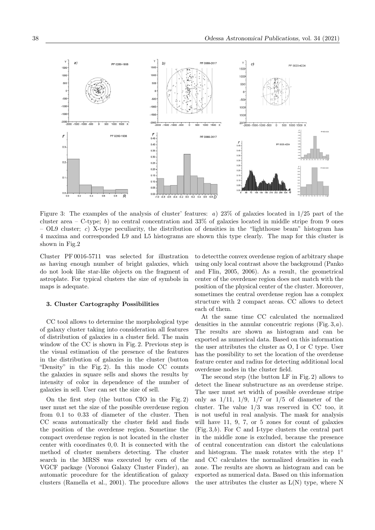

Figure 3: The examples of the analysis of cluster' features: *a*) 23% of galaxies located in 1*/*25 part of the cluster area – C-type; *b*) no central concentration and 33% of galaxies located in middle stripe from 9 ones – OL9 cluster; *c*) X-type peculiarity, the distribution of densities in the "lighthouse beam" histogram has 4 maxima and corresponded L9 and L5 histograms are shown this type clearly. The map for this cluster is shown in Fig.2

Cluster PF 0016-5711 was selected for illustration as having enough number of bright galaxies, which do not look like star-like objects on the fragment of astroplate. For typical clusters the size of symbols in maps is adequate.

#### 3. Cluster Cartography Possibilities

CC tool allows to determine the morphological type of galaxy cluster taking into consideration all features of distribution of galaxies in a cluster field. The main window of the CC is shown in Fig. 2. Previous step is the visual estimation of the presence of the features in the distribution of galaxies in the cluster (button "Density" in the Fig. 2). In this mode CC counts the galaxies in square sells and shows the results by intensity of color in dependence of the number of galaxies in sell. User can set the size of sell.

On the first step (the button CIO in the Fig. 2) user must set the size of the possible overdense region from 0.1 to 0.33 of diameter of the cluster. Then CC scans automatically the cluster field and finds the position of the overdense region. Sometime the compact overdense region is not located in the cluster center with coordinates 0, 0. It is connected with the method of cluster members detecting. The cluster search in the MRSS was executed by corn of the VGCF package (Voronoi Galaxy Cluster Finder), an automatic procedure for the identification of galaxy clusters (Ramella et al., 2001). The procedure allows to detectthe convex overdense region of arbitrary shape using only local contrast above the background (Panko and Flin, 2005, 2006). As a result, the geometrical center of the overdense region does not match with the position of the physical center of the cluster. Moreover, sometimes the central overdense region has a complex structure with 2 compact areas. CC allows to detect each of them.

At the same time CC calculated the normalized densities in the annular concentric regions (Fig.  $3, a$ ). The results are shown as histogram and can be exported as numerical data. Based on this information the user attributes the cluster as O, I or C type. User has the possibility to set the location of the overdense feature center and radius for detecting additional local overdense nodes in the cluster field.

The second step (the button LF in Fig. 2) allows to detect the linear substructure as an overdense stripe. The user must set width of possible overdense stripe only as  $1/11$ ,  $1/9$ ,  $1/7$  or  $1/5$  of diameter of the cluster. The value 1/3 was reserved in CC too, it is not useful in real analysis. The mask for analysis will have 11, 9, 7, or 5 zones for count of galaxies (Fig. 3,b). For C and I-type clusters the central part in the middle zone is excluded, because the presence of central concentration can distort the calculations and histogram. The mask rotates with the step  $1^\circ$ and CC calculates the normalized densities in each zone. The results are shown as histogram and can be exported as numerical data. Based on this information the user attributes the cluster as  $L(N)$  type, where N